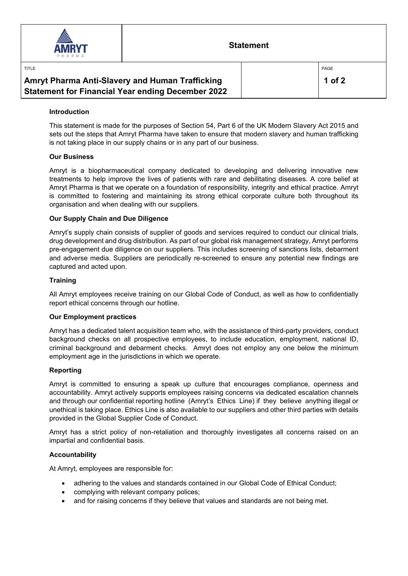

TITLE

### **Statement**

| Amryt Pharma Anti-Slavery and Human Trafficking          |  |
|----------------------------------------------------------|--|
| <b>Statement for Financial Year ending December 2022</b> |  |

PAGE

#### **Introduction**

This statement is made for the purposes of Section 54, Part 6 of the UK Modern Slavery Act 2015 and sets out the steps that Amryt Pharma have taken to ensure that modern slavery and human trafficking is not taking place in our supply chains or in any part of our business.

#### **Our Business**

Amryt is a biopharmaceutical company dedicated to developing and delivering innovative new treatments to help improve the lives of patients with rare and debilitating diseases. A core belief at Amryt Pharma is that we operate on a foundation of responsibility, integrity and ethical practice. Amryt is committed to fostering and maintaining its strong ethical corporate culture both throughout its organisation and when dealing with our suppliers.

#### **Our Supply Chain and Due Diligence**

Amryt's supply chain consists of supplier of goods and services required to conduct our clinical trials, drug development and drug distribution. As part of our global risk management strategy, Amryt performs pre-engagement due diligence on our suppliers. This includes screening of sanctions lists, debarment and adverse media. Suppliers are periodically re-screened to ensure any potential new findings are captured and acted upon.

#### **Training**

All Amryt employees receive training on our Global Code of Conduct, as well as how to confidentially report ethical concerns through our hotline.

#### **Our Employment practices**

Amryt has a dedicated talent acquisition team who, with the assistance of third-party providers, conduct background checks on all prospective employees, to include education, employment, national ID, criminal background and debarment checks. Amryt does not employ any one below the minimum employment age in the jurisdictions in which we operate.

#### **Reporting**

Amryt is committed to ensuring a speak up culture that encourages compliance, openness and accountability. Amryt actively supports employees raising concerns via dedicated escalation channels and through our confidential reporting hotline (Amryt's Ethics Line) if they believe anything illegal or unethical is taking place. Ethics Line is also available to our suppliers and other third parties with details provided in the Global Supplier Code of Conduct.

Amryt has a strict policy of non-retaliation and thoroughly investigates all concerns raised on an impartial and confidential basis.

#### **Accountability**

At Amryt, employees are responsible for:

- adhering to the values and standards contained in our Global Code of Ethical Conduct;
- complying with relevant company polices;
- and for raising concerns if they believe that values and standards are not being met.